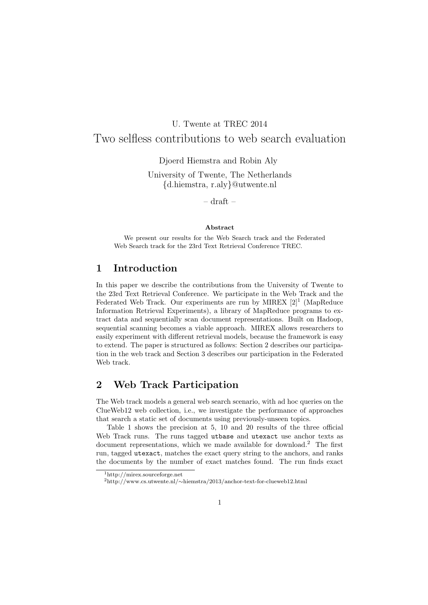# U. Twente at TREC 2014

## Two selfless contributions to web search evaluation

Djoerd Hiemstra and Robin Aly

University of Twente, The Netherlands {d.hiemstra, r.aly}@utwente.nl

 $-$  draft  $-$ 

#### Abstract

We present our results for the Web Search track and the Federated Web Search track for the 23rd Text Retrieval Conference TREC.

### 1 Introduction

In this paper we describe the contributions from the University of Twente to the 23rd Text Retrieval Conference. We participate in the Web Track and the Federated Web Track. Our experiments are run by MIREX  $[2]^1$  (MapReduce Information Retrieval Experiments), a library of MapReduce programs to extract data and sequentially scan document representations. Built on Hadoop, sequential scanning becomes a viable approach. MIREX allows researchers to easily experiment with different retrieval models, because the framework is easy to extend. The paper is structured as follows: Section 2 describes our participation in the web track and Section 3 describes our participation in the Federated Web track.

### 2 Web Track Participation

The Web track models a general web search scenario, with ad hoc queries on the ClueWeb12 web collection, i.e., we investigate the performance of approaches that search a static set of documents using previously-unseen topics.

Table 1 shows the precision at 5, 10 and 20 results of the three official Web Track runs. The runs tagged utbase and utexact use anchor texts as document representations, which we made available for download.<sup>2</sup> The first run, tagged utexact, matches the exact query string to the anchors, and ranks the documents by the number of exact matches found. The run finds exact

<sup>1</sup>http://mirex.sourceforge.net

<sup>2</sup>http://www.cs.utwente.nl/∼hiemstra/2013/anchor-text-for-clueweb12.html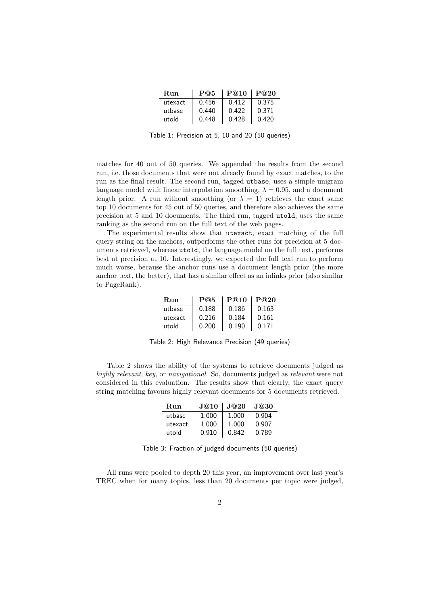| Run     | P@5   | P@10  | P@20  |
|---------|-------|-------|-------|
| utexact | 0.456 | 0.412 | 0.375 |
| utbase  | 0.440 | 0.422 | 0.371 |
| utold   | 0.448 | 0.428 | 0.420 |

Table 1: Precision at 5, 10 and 20 (50 queries)

matches for 40 out of 50 queries. We appended the results from the second run, i.e. those documents that were not already found by exact matches, to the run as the final result. The second run, tagged utbase, uses a simple unigram language model with linear interpolation smoothing,  $\lambda = 0.95$ , and a document length prior. A run without smoothing (or  $\lambda = 1$ ) retrieves the exact same top 10 documents for 45 out of 50 queries, and therefore also achieves the same precision at 5 and 10 documents. The third run, tagged utold, uses the same ranking as the second run on the full text of the web pages.

The experimental results show that utexact, exact matching of the full query string on the anchors, outperforms the other runs for precicion at 5 documents retrieved, whereas utold, the language model on the full text, performs best at precision at 10. Interestingly, we expected the full text run to perform much worse, because the anchor runs use a document length prior (the more anchor text, the better), that has a similar effect as an inlinks prior (also similar to PageRank).

| Run     | P@5   | P@10  | P@20  |
|---------|-------|-------|-------|
| utbase  | 0.188 | 0.186 | 0.163 |
| utexact | 0.216 | 0.184 | 0.161 |
| utold   | 0.200 | 0.190 | 0.171 |

Table 2: High Relevance Precision (49 queries)

Table 2 shows the ability of the systems to retrieve documents judged as highly relevant, key, or navigational. So, documents judged as relevant were not considered in this evaluation. The results show that clearly, the exact query string matching favours highly relevant documents for 5 documents retrieved.

| Run     | J@10  | J@20  | J@30  |
|---------|-------|-------|-------|
| utbase  | 1.000 | 1.000 | 0.904 |
| utexact | 1.000 | 1.000 | 0.907 |
| utold   | 0.910 | 0.842 | 0.789 |

Table 3: Fraction of judged documents (50 queries)

All runs were pooled to depth 20 this year, an improvement over last year's TREC when for many topics, less than 20 documents per topic were judged,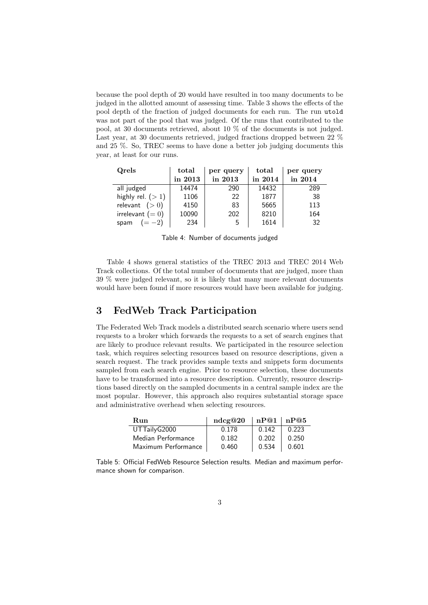because the pool depth of 20 would have resulted in too many documents to be judged in the allotted amount of assessing time. Table 3 shows the effects of the pool depth of the fraction of judged documents for each run. The run utold was not part of the pool that was judged. Of the runs that contributed to the pool, at 30 documents retrieved, about 10 % of the documents is not judged. Last year, at 30 documents retrieved, judged fractions dropped between 22 % and 25 %. So, TREC seems to have done a better job judging documents this year, at least for our runs.

| Qrels              | total   | per query | total   | per query |
|--------------------|---------|-----------|---------|-----------|
|                    | in 2013 | in 2013   | in 2014 | in 2014   |
| all judged         | 14474   | 290       | 14432   | 289       |
| highly rel. $(>1)$ | 1106    | 22        | 1877    | -38       |
| relevant $(>0)$    | 4150    | 83        | 5665    | 113       |
| irrelevant $(= 0)$ | 10090   | 202       | 8210    | 164       |
| $(=-2)$<br>spam    | 234     | 5         | 1614    | 32        |

Table 4: Number of documents judged

Table 4 shows general statistics of the TREC 2013 and TREC 2014 Web Track collections. Of the total number of documents that are judged, more than 39 % were judged relevant, so it is likely that many more relevant documents would have been found if more resources would have been available for judging.

## 3 FedWeb Track Participation

The Federated Web Track models a distributed search scenario where users send requests to a broker which forwards the requests to a set of search engines that are likely to produce relevant results. We participated in the resource selection task, which requires selecting resources based on resource descriptions, given a search request. The track provides sample texts and snippets form documents sampled from each search engine. Prior to resource selection, these documents have to be transformed into a resource description. Currently, resource descriptions based directly on the sampled documents in a central sample index are the most popular. However, this approach also requires substantial storage space and administrative overhead when selecting resources.

| Run                 | ndcg@20 | nP@1 nP@5 |       |
|---------------------|---------|-----------|-------|
| UTTailyG2000        | 0.178   | 0.142     | 0.223 |
| Median Performance  | 0.182   | 0.202     | 0.250 |
| Maximum Performance | 0.460   | 0.534     | 0.601 |

Table 5: Official FedWeb Resource Selection results. Median and maximum performance shown for comparison.